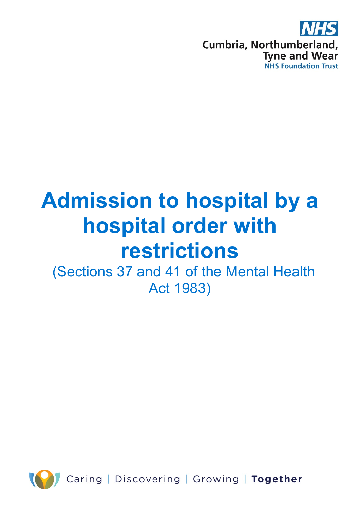

# **Admission to hospital by a hospital order with restrictions**

(Sections 37 and 41 of the Mental Health Act 1983)

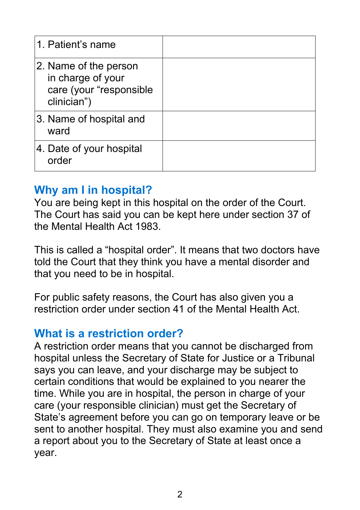| 1. Patient's name                                                                    |  |
|--------------------------------------------------------------------------------------|--|
| 2. Name of the person<br>in charge of your<br>care (your "responsible<br>clinician") |  |
| 3. Name of hospital and<br>ward                                                      |  |
| 4. Date of your hospital<br>order                                                    |  |

# **Why am I in hospital?**

You are being kept in this hospital on the order of the Court. The Court has said you can be kept here under section 37 of the Mental Health Act 1983.

This is called a "hospital order". It means that two doctors have told the Court that they think you have a mental disorder and that you need to be in hospital.

For public safety reasons, the Court has also given you a restriction order under section 41 of the Mental Health Act.

# **What is a restriction order?**

A restriction order means that you cannot be discharged from hospital unless the Secretary of State for Justice or a Tribunal says you can leave, and your discharge may be subject to certain conditions that would be explained to you nearer the time. While you are in hospital, the person in charge of your care (your responsible clinician) must get the Secretary of State's agreement before you can go on temporary leave or be sent to another hospital. They must also examine you and send a report about you to the Secretary of State at least once a year.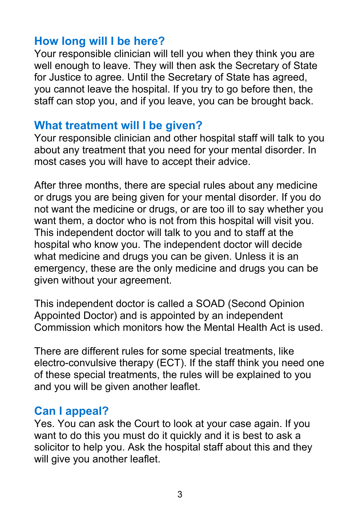# **How long will I be here?**

Your responsible clinician will tell you when they think you are well enough to leave. They will then ask the Secretary of State for Justice to agree. Until the Secretary of State has agreed, you cannot leave the hospital. If you try to go before then, the staff can stop you, and if you leave, you can be brought back.

#### **What treatment will I be given?**

Your responsible clinician and other hospital staff will talk to you about any treatment that you need for your mental disorder. In most cases you will have to accept their advice.

After three months, there are special rules about any medicine or drugs you are being given for your mental disorder. If you do not want the medicine or drugs, or are too ill to say whether you want them, a doctor who is not from this hospital will visit you. This independent doctor will talk to you and to staff at the hospital who know you. The independent doctor will decide what medicine and drugs you can be given. Unless it is an emergency, these are the only medicine and drugs you can be given without your agreement.

This independent doctor is called a SOAD (Second Opinion Appointed Doctor) and is appointed by an independent Commission which monitors how the Mental Health Act is used.

There are different rules for some special treatments, like electro-convulsive therapy (ECT). If the staff think you need one of these special treatments, the rules will be explained to you and you will be given another leaflet.

# **Can I appeal?**

Yes. You can ask the Court to look at your case again. If you want to do this you must do it quickly and it is best to ask a solicitor to help you. Ask the hospital staff about this and they will give you another leaflet.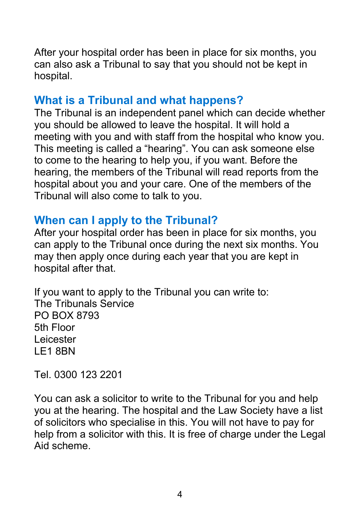After your hospital order has been in place for six months, you can also ask a Tribunal to say that you should not be kept in hospital.

# **What is a Tribunal and what happens?**

The Tribunal is an independent panel which can decide whether you should be allowed to leave the hospital. It will hold a meeting with you and with staff from the hospital who know you. This meeting is called a "hearing". You can ask someone else to come to the hearing to help you, if you want. Before the hearing, the members of the Tribunal will read reports from the hospital about you and your care. One of the members of the Tribunal will also come to talk to you.

# **When can I apply to the Tribunal?**

After your hospital order has been in place for six months, you can apply to the Tribunal once during the next six months. You may then apply once during each year that you are kept in hospital after that.

If you want to apply to the Tribunal you can write to: The Tribunals Service PO BOX 8793 5th Floor Leicester LE1 8BN

Tel. 0300 123 2201

You can ask a solicitor to write to the Tribunal for you and help you at the hearing. The hospital and the Law Society have a list of solicitors who specialise in this. You will not have to pay for help from a solicitor with this. It is free of charge under the Legal Aid scheme.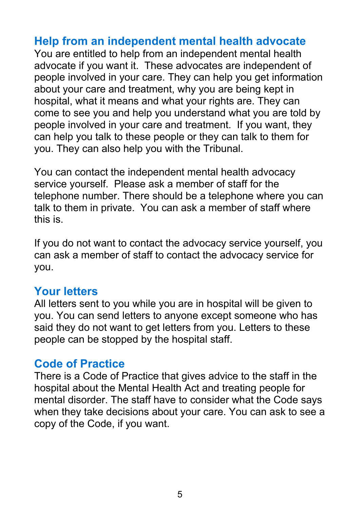# **Help from an independent mental health advocate**

You are entitled to help from an independent mental health advocate if you want it. These advocates are independent of people involved in your care. They can help you get information about your care and treatment, why you are being kept in hospital, what it means and what your rights are. They can come to see you and help you understand what you are told by people involved in your care and treatment. If you want, they can help you talk to these people or they can talk to them for you. They can also help you with the Tribunal.

You can contact the independent mental health advocacy service yourself. Please ask a member of staff for the telephone number. There should be a telephone where you can talk to them in private. You can ask a member of staff where this is.

If you do not want to contact the advocacy service yourself, you can ask a member of staff to contact the advocacy service for you.

#### **Your letters**

All letters sent to you while you are in hospital will be given to you. You can send letters to anyone except someone who has said they do not want to get letters from you. Letters to these people can be stopped by the hospital staff.

#### **Code of Practice**

There is a Code of Practice that gives advice to the staff in the hospital about the Mental Health Act and treating people for mental disorder. The staff have to consider what the Code says when they take decisions about your care. You can ask to see a copy of the Code, if you want.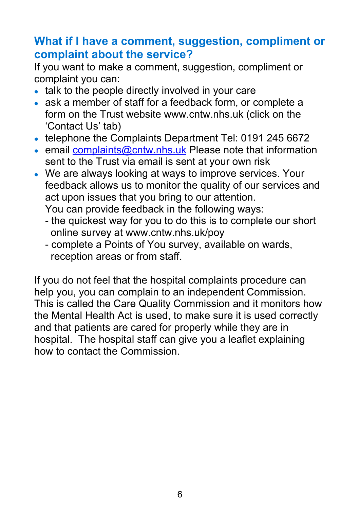# **What if I have a comment, suggestion, compliment or complaint about the service?**

If you want to make a comment, suggestion, compliment or complaint you can:

- talk to the people directly involved in your care
- ask a member of staff for a feedback form, or complete a form on the Trust website www.cntw.nhs.uk (click on the 'Contact Us' tab)
- telephone the Complaints Department Tel: 0191 245 6672
- email [complaints@cntw.nhs.uk](mailto:complaints@cntw.nhs.uk) Please note that information sent to the Trust via email is sent at your own risk
- We are always looking at ways to improve services. Your feedback allows us to monitor the quality of our services and act upon issues that you bring to our attention.

You can provide feedback in the following ways:

- the quickest way for you to do this is to complete our short online survey at www.cntw.nhs.uk/poy
- complete a Points of You survey, available on wards, reception areas or from staff.

If you do not feel that the hospital complaints procedure can help you, you can complain to an independent Commission. This is called the Care Quality Commission and it monitors how the Mental Health Act is used, to make sure it is used correctly and that patients are cared for properly while they are in hospital. The hospital staff can give you a leaflet explaining how to contact the Commission.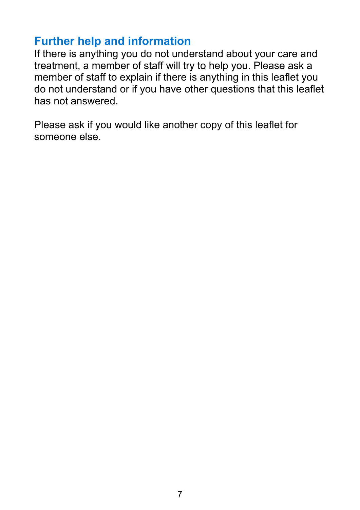# **Further help and information**

If there is anything you do not understand about your care and treatment, a member of staff will try to help you. Please ask a member of staff to explain if there is anything in this leaflet you do not understand or if you have other questions that this leaflet has not answered.

Please ask if you would like another copy of this leaflet for someone else.